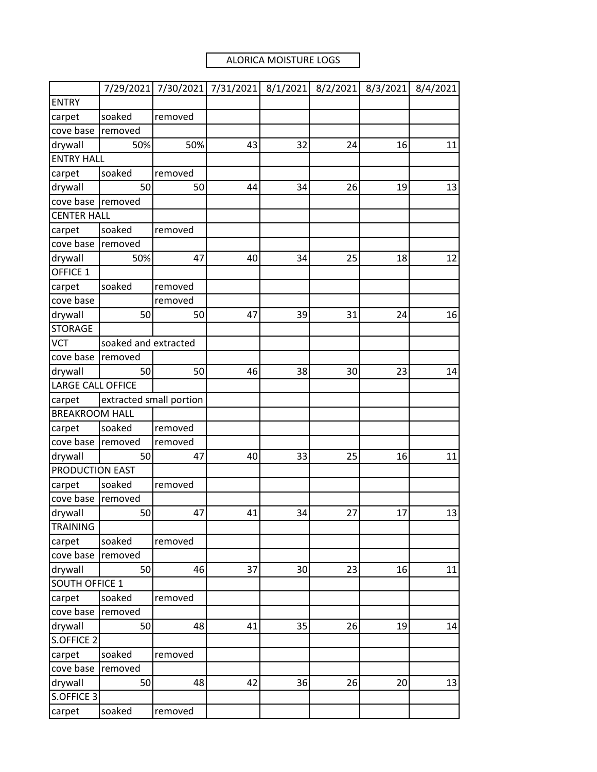## ALORICA MOISTURE LOGS

|                          | 7/29/2021               | 7/30/2021 | 7/31/2021 | 8/1/2021 | 8/2/2021 | 8/3/2021 | 8/4/2021 |
|--------------------------|-------------------------|-----------|-----------|----------|----------|----------|----------|
| <b>ENTRY</b>             |                         |           |           |          |          |          |          |
| carpet                   | soaked                  | removed   |           |          |          |          |          |
| cove base                | removed                 |           |           |          |          |          |          |
| drywall                  | 50%                     | 50%       | 43        | 32       | 24       | 16       | 11       |
| <b>ENTRY HALL</b>        |                         |           |           |          |          |          |          |
| carpet                   | soaked                  | removed   |           |          |          |          |          |
| drywall                  | 50                      | 50        | 44        | 34       | 26       | 19       | 13       |
| cove base                | removed                 |           |           |          |          |          |          |
| <b>CENTER HALL</b>       |                         |           |           |          |          |          |          |
| carpet                   | soaked                  | removed   |           |          |          |          |          |
| cove base                | removed                 |           |           |          |          |          |          |
| drywall                  | 50%                     | 47        | 40        | 34       | 25       | 18       | 12       |
| OFFICE 1                 |                         |           |           |          |          |          |          |
| carpet                   | soaked                  | removed   |           |          |          |          |          |
| cove base                |                         | removed   |           |          |          |          |          |
| drywall                  | 50                      | 50        | 47        | 39       | 31       | 24       | 16       |
| <b>STORAGE</b>           |                         |           |           |          |          |          |          |
| <b>VCT</b>               | soaked and extracted    |           |           |          |          |          |          |
| cove base                | removed                 |           |           |          |          |          |          |
| drywall                  | 50                      | 50        | 46        | 38       | 30       | 23       | 14       |
| <b>LARGE CALL OFFICE</b> |                         |           |           |          |          |          |          |
| carpet                   | extracted small portion |           |           |          |          |          |          |
| <b>BREAKROOM HALL</b>    |                         |           |           |          |          |          |          |
| carpet                   | soaked                  | removed   |           |          |          |          |          |
| cove base                | removed                 | removed   |           |          |          |          |          |
| drywall                  | 50                      | 47        | 40        | 33       | 25       | 16       | 11       |
| PRODUCTION EAST          |                         |           |           |          |          |          |          |
| carpet                   | soaked                  | removed   |           |          |          |          |          |
| cove base                | removed                 |           |           |          |          |          |          |
| drywall                  | 50                      | 47        | 41        | 34       | 27       | 17       | 13       |
| <b>TRAINING</b>          |                         |           |           |          |          |          |          |
| carpet                   | soaked                  | removed   |           |          |          |          |          |
| cove base                | removed                 |           |           |          |          |          |          |
| drywall                  | 50                      | 46        | 37        | 30       | 23       | 16       | 11       |
| <b>SOUTH OFFICE 1</b>    |                         |           |           |          |          |          |          |
| carpet                   | soaked                  | removed   |           |          |          |          |          |
| cove base                | removed                 |           |           |          |          |          |          |
| drywall                  | 50                      | 48        | 41        | 35       | 26       | 19       | 14       |
| S.OFFICE 2               |                         |           |           |          |          |          |          |
| carpet                   | soaked                  | removed   |           |          |          |          |          |
| cove base                | removed                 |           |           |          |          |          |          |
| drywall                  | 50                      | 48        | 42        | 36       | 26       | 20       | 13       |
| S.OFFICE 3               |                         |           |           |          |          |          |          |
| carpet                   | soaked                  | removed   |           |          |          |          |          |